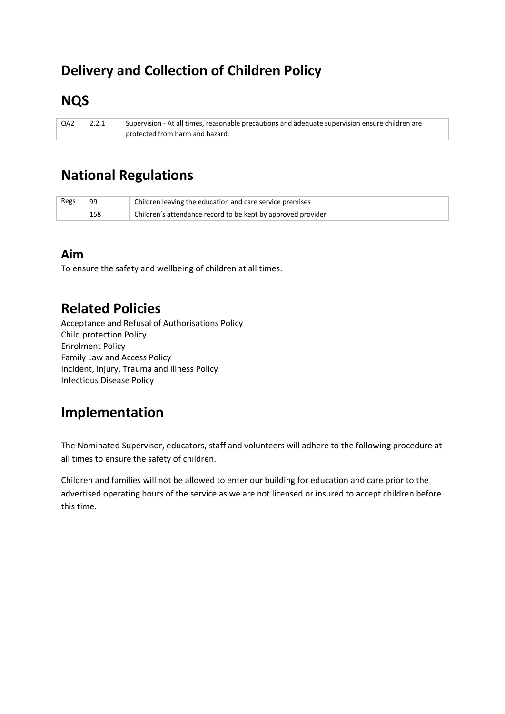# **Delivery and Collection of Children Policy**

# **NQS**

QA2 2.2.1 Supervision - At all times, reasonable precautions and adequate supervision ensure children are protected from harm and hazard.

# **National Regulations**

| Regs | 99  | Children leaving the education and care service premises     |
|------|-----|--------------------------------------------------------------|
|      | 158 | Children's attendance record to be kept by approved provider |

### **Aim**

To ensure the safety and wellbeing of children at all times.

### **Related Policies**

Acceptance and Refusal of Authorisations Policy Child protection Policy Enrolment Policy Family Law and Access Policy Incident, Injury, Trauma and Illness Policy Infectious Disease Policy

## **Implementation**

The Nominated Supervisor, educators, staff and volunteers will adhere to the following procedure at all times to ensure the safety of children.

Children and families will not be allowed to enter our building for education and care prior to the advertised operating hours of the service as we are not licensed or insured to accept children before this time.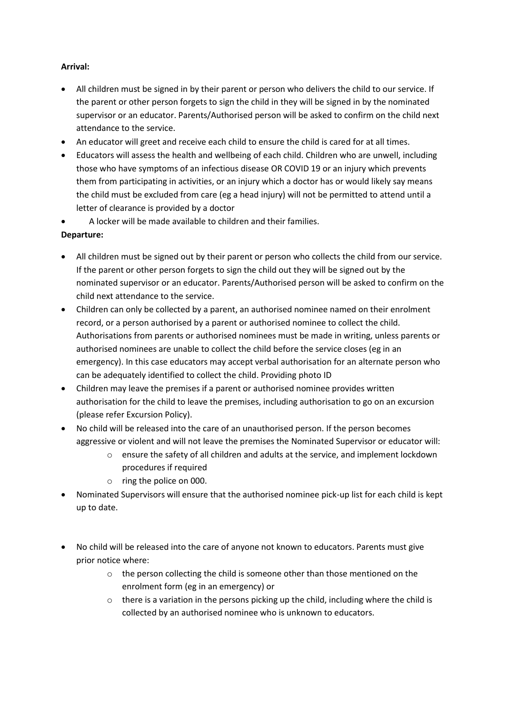#### **Arrival:**

- All children must be signed in by their parent or person who delivers the child to our service. If the parent or other person forgets to sign the child in they will be signed in by the nominated supervisor or an educator. Parents/Authorised person will be asked to confirm on the child next attendance to the service.
- An educator will greet and receive each child to ensure the child is cared for at all times.
- Educators will assess the health and wellbeing of each child. Children who are unwell, including those who have symptoms of an infectious disease OR COVID 19 or an injury which prevents them from participating in activities, or an injury which a doctor has or would likely say means the child must be excluded from care (eg a head injury) will not be permitted to attend until a letter of clearance is provided by a doctor
- A locker will be made available to children and their families.

#### **Departure:**

- All children must be signed out by their parent or person who collects the child from our service. If the parent or other person forgets to sign the child out they will be signed out by the nominated supervisor or an educator. Parents/Authorised person will be asked to confirm on the child next attendance to the service.
- Children can only be collected by a parent, an authorised nominee named on their enrolment record, or a person authorised by a parent or authorised nominee to collect the child. Authorisations from parents or authorised nominees must be made in writing, unless parents or authorised nominees are unable to collect the child before the service closes (eg in an emergency). In this case educators may accept verbal authorisation for an alternate person who can be adequately identified to collect the child. Providing photo ID
- Children may leave the premises if a parent or authorised nominee provides written authorisation for the child to leave the premises, including authorisation to go on an excursion (please refer Excursion Policy).
- No child will be released into the care of an unauthorised person. If the person becomes aggressive or violent and will not leave the premises the Nominated Supervisor or educator will:
	- o ensure the safety of all children and adults at the service, and implement lockdown procedures if required
	- o ring the police on 000.
- Nominated Supervisors will ensure that the authorised nominee pick-up list for each child is kept up to date.
- No child will be released into the care of anyone not known to educators. Parents must give prior notice where:
	- o the person collecting the child is someone other than those mentioned on the enrolment form (eg in an emergency) or
	- $\circ$  there is a variation in the persons picking up the child, including where the child is collected by an authorised nominee who is unknown to educators.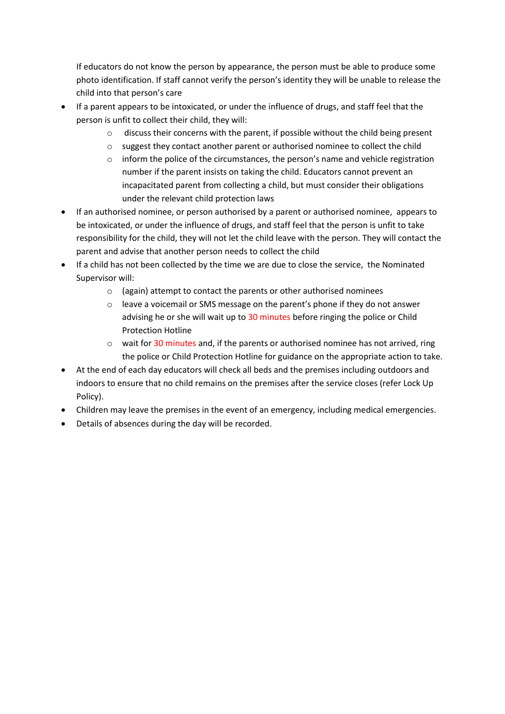If educators do not know the person by appearance, the person must be able to produce some photo identification. If staff cannot verify the person's identity they will be unable to release the child into that person's care

- If a parent appears to be intoxicated, or under the influence of drugs, and staff feel that the person is unfit to collect their child, they will:
	- o discuss their concerns with the parent, if possible without the child being present
	- o suggest they contact another parent or authorised nominee to collect the child
	- $\circ$  inform the police of the circumstances, the person's name and vehicle registration number if the parent insists on taking the child. Educators cannot prevent an incapacitated parent from collecting a child, but must consider their obligations under the relevant child protection laws
- If an authorised nominee, or person authorised by a parent or authorised nominee, appears to be intoxicated, or under the influence of drugs, and staff feel that the person is unfit to take responsibility for the child, they will not let the child leave with the person. They will contact the parent and advise that another person needs to collect the child
- If a child has not been collected by the time we are due to close the service, the Nominated Supervisor will:
	- o (again) attempt to contact the parents or other authorised nominees
	- o leave a voicemail or SMS message on the parent's phone if they do not answer advising he or she will wait up to 30 minutes before ringing the police or Child Protection Hotline
	- o wait for 30 minutes and, if the parents or authorised nominee has not arrived, ring the police or Child Protection Hotline for guidance on the appropriate action to take.
- At the end of each day educators will check all beds and the premises including outdoors and indoors to ensure that no child remains on the premises after the service closes (refer Lock Up Policy).
- Children may leave the premises in the event of an emergency, including medical emergencies.
- Details of absences during the day will be recorded.